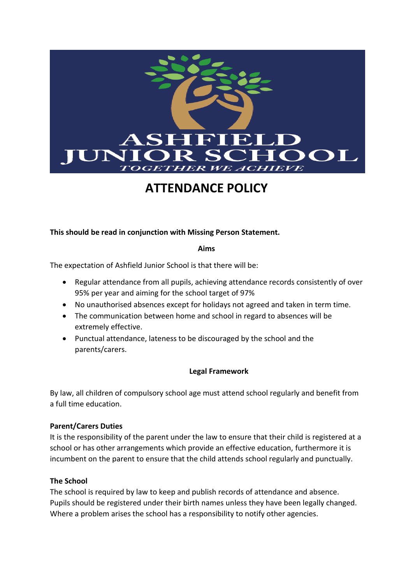

# **ATTENDANCE POLICY**

**This should be read in conjunction with Missing Person Statement.**

#### **Aims**

The expectation of Ashfield Junior School is that there will be:

- Regular attendance from all pupils, achieving attendance records consistently of over 95% per year and aiming for the school target of 97%
- No unauthorised absences except for holidays not agreed and taken in term time.
- The communication between home and school in regard to absences will be extremely effective.
- Punctual attendance, lateness to be discouraged by the school and the parents/carers.

## **Legal Framework**

By law, all children of compulsory school age must attend school regularly and benefit from a full time education.

## **Parent/Carers Duties**

It is the responsibility of the parent under the law to ensure that their child is registered at a school or has other arrangements which provide an effective education, furthermore it is incumbent on the parent to ensure that the child attends school regularly and punctually.

## **The School**

The school is required by law to keep and publish records of attendance and absence. Pupils should be registered under their birth names unless they have been legally changed. Where a problem arises the school has a responsibility to notify other agencies.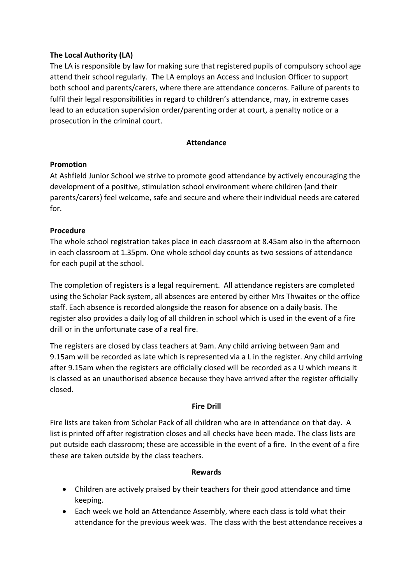# **The Local Authority (LA)**

The LA is responsible by law for making sure that registered pupils of compulsory school age attend their school regularly. The LA employs an Access and Inclusion Officer to support both school and parents/carers, where there are attendance concerns. Failure of parents to fulfil their legal responsibilities in regard to children's attendance, may, in extreme cases lead to an education supervision order/parenting order at court, a penalty notice or a prosecution in the criminal court.

## **Attendance**

#### **Promotion**

At Ashfield Junior School we strive to promote good attendance by actively encouraging the development of a positive, stimulation school environment where children (and their parents/carers) feel welcome, safe and secure and where their individual needs are catered for.

## **Procedure**

The whole school registration takes place in each classroom at 8.45am also in the afternoon in each classroom at 1.35pm. One whole school day counts as two sessions of attendance for each pupil at the school.

The completion of registers is a legal requirement. All attendance registers are completed using the Scholar Pack system, all absences are entered by either Mrs Thwaites or the office staff. Each absence is recorded alongside the reason for absence on a daily basis. The register also provides a daily log of all children in school which is used in the event of a fire drill or in the unfortunate case of a real fire.

The registers are closed by class teachers at 9am. Any child arriving between 9am and 9.15am will be recorded as late which is represented via a L in the register. Any child arriving after 9.15am when the registers are officially closed will be recorded as a U which means it is classed as an unauthorised absence because they have arrived after the register officially closed.

## **Fire Drill**

Fire lists are taken from Scholar Pack of all children who are in attendance on that day. A list is printed off after registration closes and all checks have been made. The class lists are put outside each classroom; these are accessible in the event of a fire. In the event of a fire these are taken outside by the class teachers.

#### **Rewards**

- Children are actively praised by their teachers for their good attendance and time keeping.
- Each week we hold an Attendance Assembly, where each class is told what their attendance for the previous week was. The class with the best attendance receives a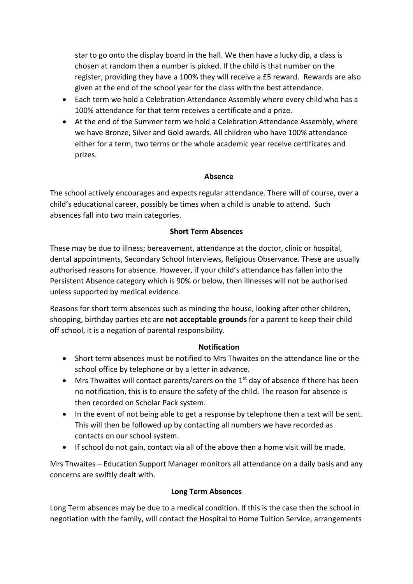star to go onto the display board in the hall. We then have a lucky dip, a class is chosen at random then a number is picked. If the child is that number on the register, providing they have a 100% they will receive a £5 reward. Rewards are also given at the end of the school year for the class with the best attendance.

- Each term we hold a Celebration Attendance Assembly where every child who has a 100% attendance for that term receives a certificate and a prize.
- At the end of the Summer term we hold a Celebration Attendance Assembly, where we have Bronze, Silver and Gold awards. All children who have 100% attendance either for a term, two terms or the whole academic year receive certificates and prizes.

#### **Absence**

The school actively encourages and expects regular attendance. There will of course, over a child's educational career, possibly be times when a child is unable to attend. Such absences fall into two main categories.

#### **Short Term Absences**

These may be due to illness; bereavement, attendance at the doctor, clinic or hospital, dental appointments, Secondary School Interviews, Religious Observance. These are usually authorised reasons for absence. However, if your child's attendance has fallen into the Persistent Absence category which is 90% or below, then illnesses will not be authorised unless supported by medical evidence.

Reasons for short term absences such as minding the house, looking after other children, shopping, birthday parties etc are **not acceptable grounds** for a parent to keep their child off school, it is a negation of parental responsibility.

#### **Notification**

- Short term absences must be notified to Mrs Thwaites on the attendance line or the school office by telephone or by a letter in advance.
- Mrs Thwaites will contact parents/carers on the  $1<sup>st</sup>$  day of absence if there has been no notification, this is to ensure the safety of the child. The reason for absence is then recorded on Scholar Pack system.
- In the event of not being able to get a response by telephone then a text will be sent. This will then be followed up by contacting all numbers we have recorded as contacts on our school system.
- If school do not gain, contact via all of the above then a home visit will be made.

Mrs Thwaites – Education Support Manager monitors all attendance on a daily basis and any concerns are swiftly dealt with.

#### **Long Term Absences**

Long Term absences may be due to a medical condition. If this is the case then the school in negotiation with the family, will contact the Hospital to Home Tuition Service, arrangements